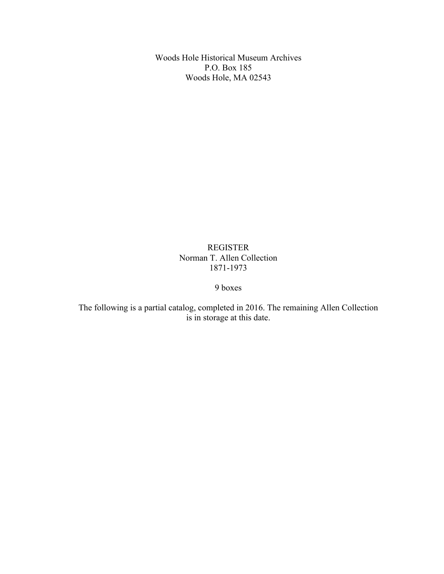Woods Hole Historical Museum Archives P.O. Box 185 Woods Hole, MA 02543

> REGISTER Norman T. Allen Collection 1871-1973

> > 9 boxes

The following is a partial catalog, completed in 2016. The remaining Allen Collection is in storage at this date.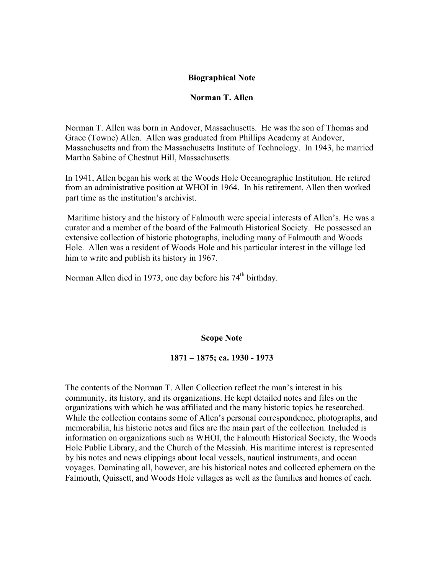## **Biographical Note**

#### **Norman T. Allen**

Norman T. Allen was born in Andover, Massachusetts. He was the son of Thomas and Grace (Towne) Allen. Allen was graduated from Phillips Academy at Andover, Massachusetts and from the Massachusetts Institute of Technology. In 1943, he married Martha Sabine of Chestnut Hill, Massachusetts.

In 1941, Allen began his work at the Woods Hole Oceanographic Institution. He retired from an administrative position at WHOI in 1964. In his retirement, Allen then worked part time as the institution's archivist.

Maritime history and the history of Falmouth were special interests of Allen's. He was a curator and a member of the board of the Falmouth Historical Society. He possessed an extensive collection of historic photographs, including many of Falmouth and Woods Hole. Allen was a resident of Woods Hole and his particular interest in the village led him to write and publish its history in 1967.

Norman Allen died in 1973, one day before his  $74<sup>th</sup>$  birthday.

#### **Scope Note**

#### **1871 – 1875; ca. 1930 - 1973**

The contents of the Norman T. Allen Collection reflect the man's interest in his community, its history, and its organizations. He kept detailed notes and files on the organizations with which he was affiliated and the many historic topics he researched. While the collection contains some of Allen's personal correspondence, photographs, and memorabilia, his historic notes and files are the main part of the collection. Included is information on organizations such as WHOI, the Falmouth Historical Society, the Woods Hole Public Library, and the Church of the Messiah. His maritime interest is represented by his notes and news clippings about local vessels, nautical instruments, and ocean voyages. Dominating all, however, are his historical notes and collected ephemera on the Falmouth, Quissett, and Woods Hole villages as well as the families and homes of each.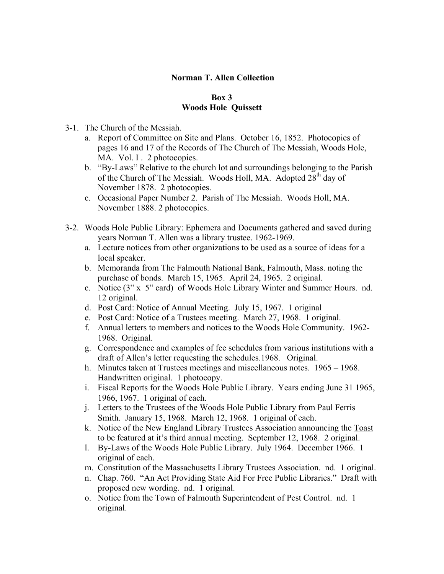# **Norman T. Allen Collection**

## **Box 3 Woods Hole Quissett**

- 3-1. The Church of the Messiah.
	- a. Report of Committee on Site and Plans. October 16, 1852. Photocopies of pages 16 and 17 of the Records of The Church of The Messiah, Woods Hole, MA. Vol. I. 2 photocopies.
	- b. "By-Laws" Relative to the church lot and surroundings belonging to the Parish of the Church of The Messiah. Woods Holl, MA. Adopted 28<sup>th</sup> day of November 1878. 2 photocopies.
	- c. Occasional Paper Number 2. Parish of The Messiah. Woods Holl, MA. November 1888. 2 photocopies.
- 3-2. Woods Hole Public Library: Ephemera and Documents gathered and saved during years Norman T. Allen was a library trustee. 1962-1969.
	- a. Lecture notices from other organizations to be used as a source of ideas for a local speaker.
	- b. Memoranda from The Falmouth National Bank, Falmouth, Mass. noting the purchase of bonds. March 15, 1965. April 24, 1965. 2 original.
	- c. Notice (3" x 5" card) of Woods Hole Library Winter and Summer Hours. nd. 12 original.
	- d. Post Card: Notice of Annual Meeting. July 15, 1967. 1 original
	- e. Post Card: Notice of a Trustees meeting. March 27, 1968. 1 original.
	- f. Annual letters to members and notices to the Woods Hole Community. 1962- 1968. Original.
	- g. Correspondence and examples of fee schedules from various institutions with a draft of Allen's letter requesting the schedules.1968. Original.
	- h. Minutes taken at Trustees meetings and miscellaneous notes. 1965 1968. Handwritten original. 1 photocopy.
	- i. Fiscal Reports for the Woods Hole Public Library. Years ending June 31 1965, 1966, 1967. 1 original of each.
	- j. Letters to the Trustees of the Woods Hole Public Library from Paul Ferris Smith. January 15, 1968. March 12, 1968. 1 original of each.
	- k. Notice of the New England Library Trustees Association announcing the Toast to be featured at it's third annual meeting. September 12, 1968. 2 original.
	- l. By-Laws of the Woods Hole Public Library. July 1964. December 1966. 1 original of each.
	- m. Constitution of the Massachusetts Library Trustees Association. nd. 1 original.
	- n. Chap. 760. "An Act Providing State Aid For Free Public Libraries." Draft with proposed new wording. nd. 1 original.
	- o. Notice from the Town of Falmouth Superintendent of Pest Control. nd. 1 original.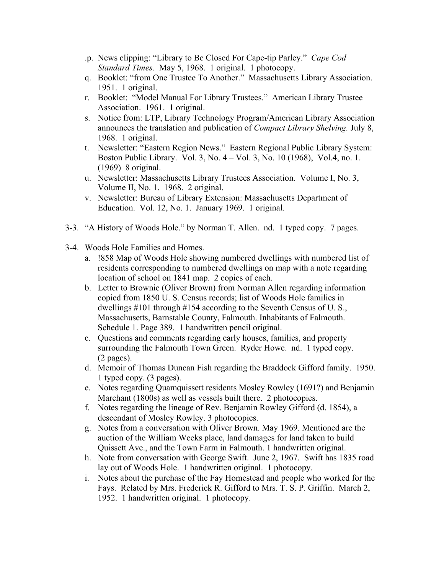- .p. News clipping: "Library to Be Closed For Cape-tip Parley." *Cape Cod Standard Times.* May 5, 1968. 1 original. 1 photocopy.
- q. Booklet: "from One Trustee To Another." Massachusetts Library Association. 1951. 1 original.
- r. Booklet: "Model Manual For Library Trustees." American Library Trustee Association. 1961. 1 original.
- s. Notice from: LTP, Library Technology Program/American Library Association announces the translation and publication of *Compact Library Shelving.* July 8, 1968. 1 original.
- t. Newsletter: "Eastern Region News." Eastern Regional Public Library System: Boston Public Library. Vol. 3, No. 4 – Vol. 3, No. 10 (1968), Vol.4, no. 1. (1969) 8 original.
- u. Newsletter: Massachusetts Library Trustees Association. Volume I, No. 3, Volume II, No. 1. 1968. 2 original.
- v. Newsletter: Bureau of Library Extension: Massachusetts Department of Education. Vol. 12, No. 1. January 1969. 1 original.
- 3-3. "A History of Woods Hole." by Norman T. Allen. nd. 1 typed copy. 7 pages.
- 3-4. Woods Hole Families and Homes.
	- a. !858 Map of Woods Hole showing numbered dwellings with numbered list of residents corresponding to numbered dwellings on map with a note regarding location of school on 1841 map. 2 copies of each.
	- b. Letter to Brownie (Oliver Brown) from Norman Allen regarding information copied from 1850 U. S. Census records; list of Woods Hole families in dwellings #101 through #154 according to the Seventh Census of U. S., Massachusetts, Barnstable County, Falmouth. Inhabitants of Falmouth. Schedule 1. Page 389. 1 handwritten pencil original.
	- c. Questions and comments regarding early houses, families, and property surrounding the Falmouth Town Green. Ryder Howe. nd. 1 typed copy. (2 pages).
	- d. Memoir of Thomas Duncan Fish regarding the Braddock Gifford family. 1950. 1 typed copy. (3 pages).
	- e. Notes regarding Quamquissett residents Mosley Rowley (1691?) and Benjamin Marchant (1800s) as well as vessels built there. 2 photocopies.
	- f. Notes regarding the lineage of Rev. Benjamin Rowley Gifford (d. 1854), a descendant of Mosley Rowley. 3 photocopies.
	- g. Notes from a conversation with Oliver Brown. May 1969. Mentioned are the auction of the William Weeks place, land damages for land taken to build Quissett Ave., and the Town Farm in Falmouth. 1 handwritten original.
	- h. Note from conversation with George Swift. June 2, 1967. Swift has 1835 road lay out of Woods Hole. 1 handwritten original. 1 photocopy.
	- i. Notes about the purchase of the Fay Homestead and people who worked for the Fays. Related by Mrs. Frederick R. Gifford to Mrs. T. S. P. Griffin. March 2, 1952. 1 handwritten original. 1 photocopy.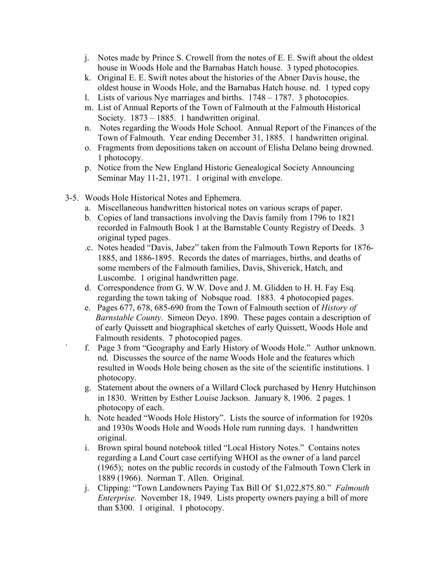- j. Notes made by Prince S. Crowell from the notes of E. E. Swift about the oldest house in Woods Hole and the Barnabas Hatch house. 3 typed photocopies.
- k. Original E. E. Swift notes about the histories of the Abner Davis house, the oldest house in Woods Hole, and the Barnabas Hatch house. nd. 1 typed copy
- l. Lists of various Nye marriages and births. 1748 1787. 3 photocopies.
- m. List of Annual Reports of the Town of Falmouth at the Falmouth Historical Society. 1873 – 1885. 1 handwritten original.
- n. Notes regarding the Woods Hole School. Annual Report of the Finances of the Town of Falmouth. Year ending December 31, 1885. 1 handwritten original.
- o. Fragments from depositions taken on account of Elisha Delano being drowned. 1 photocopy.
- p. Notice from the New England Historic Genealogical Society Announcing Seminar May 11-21, 1971. 1 original with envelope.
- 3-5. Woods Hole Historical Notes and Ephemera.
	- a. Miscellaneous handwritten historical notes on various scraps of paper.
	- b. Copies of land transactions involving the Davis family from 1796 to 1821 recorded in Falmouth Book 1 at the Barnstable County Registry of Deeds. 3 original typed pages.
	- .c. Notes headed "Davis, Jabez" taken from the Falmouth Town Reports for 1876- 1885, and 1886-1895. Records the dates of marriages, births, and deaths of some members of the Falmouth families, Davis, Shiverick, Hatch, and Luscombe. 1 original handwritten page.
	- d. Correspondence from G. W.W. Dove and J. M. Glidden to H. H. Fay Esq. regarding the town taking of Nobsque road. 1883. 4 photocopied pages.
	- e. Pages 677, 678, 685-690 from the Town of Falmouth section of *History of Barnstable County*. Simeon Deyo. 1890. These pages contain a description of of early Quissett and biographical sketches of early Quissett, Woods Hole and Falmouth residents. 7 photocopied pages.
	- ` f. Page 3 from "Geography and Early History of Woods Hole." Author unknown. nd. Discusses the source of the name Woods Hole and the features which resulted in Woods Hole being chosen as the site of the scientific institutions. 1 photocopy.
	- g. Statement about the owners of a Willard Clock purchased by Henry Hutchinson in 1830. Written by Esther Louise Jackson. January 8, 1906. 2 pages. 1 photocopy of each.
	- h. Note headed "Woods Hole History". Lists the source of information for 1920s and 1930s Woods Hole and Woods Hole rum running days. 1 handwritten original.
	- i. Brown spiral bound notebook titled "Local History Notes." Contains notes regarding a Land Court case certifying WHOI as the owner of a land parcel (1965); notes on the public records in custody of the Falmouth Town Clerk in 1889 (1966). Norman T. Allen. Original.
	- j. Clipping: "Town Landowners Paying Tax Bill Of \$1,022,875.80." *Falmouth Enterprise.* November 18, 1949. Lists property owners paying a bill of more than \$300. 1 original. 1 photocopy.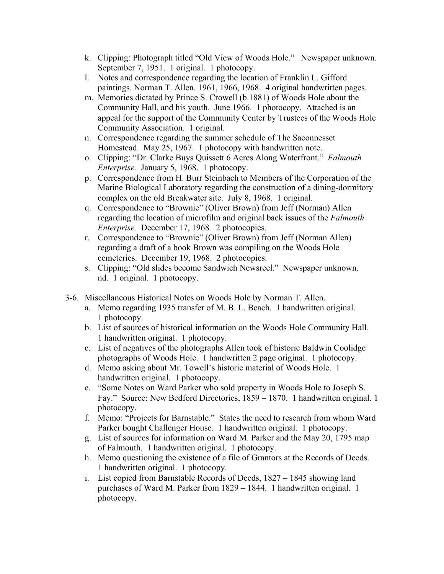- k. Clipping: Photograph titled "Old View of Woods Hole." Newspaper unknown. September 7, 1951. 1 original. 1 photocopy.
- l. Notes and correspondence regarding the location of Franklin L. Gifford paintings. Norman T. Allen. 1961, 1966, 1968. 4 original handwritten pages.
- m. Memories dictated by Prince S. Crowell (b.1881) of Woods Hole about the Community Hall, and his youth. June 1966. 1 photocopy. Attached is an appeal for the support of the Community Center by Trustees of the Woods Hole Community Association. 1 original.
- n. Correspondence regarding the summer schedule of The Saconnesset Homestead. May 25, 1967. 1 photocopy with handwritten note.
- o. Clipping: "Dr. Clarke Buys Quissett 6 Acres Along Waterfront." *Falmouth Enterprise.* January 5, 1968. 1 photocopy.
- p. Correspondence from H. Burr Steinbach to Members of the Corporation of the Marine Biological Laboratory regarding the construction of a dining-dormitory complex on the old Breakwater site. July 8, 1968. 1 original.
- q. Correspondence to "Brownie" (Oliver Brown) from Jeff (Norman) Allen regarding the location of microfilm and original back issues of the *Falmouth Enterprise.* December 17, 1968*.* 2 photocopies.
- r. Correspondence to "Brownie" (Oliver Brown) from Jeff (Norman Allen) regarding a draft of a book Brown was compiling on the Woods Hole cemeteries. December 19, 1968. 2 photocopies.
- s. Clipping: "Old slides become Sandwich Newsreel." Newspaper unknown. nd. 1 original. 1 photocopy.
- 3-6. Miscellaneous Historical Notes on Woods Hole by Norman T. Allen.
	- a. Memo regarding 1935 transfer of M. B. L. Beach. 1 handwritten original. 1 photocopy.
	- b. List of sources of historical information on the Woods Hole Community Hall. 1 handwritten original. 1 photocopy.
	- c. List of negatives of the photographs Allen took of historic Baldwin Coolidge photographs of Woods Hole. 1 handwritten 2 page original. 1 photocopy.
	- d. Memo asking about Mr. Towell's historic material of Woods Hole. 1 handwritten original. 1 photocopy.
	- e. "Some Notes on Ward Parker who sold property in Woods Hole to Joseph S. Fay." Source: New Bedford Directories, 1859 – 1870. 1 handwritten original. 1 photocopy.
	- f. Memo: "Projects for Barnstable." States the need to research from whom Ward Parker bought Challenger House. 1 handwritten original. 1 photocopy.
	- g. List of sources for information on Ward M. Parker and the May 20, 1795 map of Falmouth. 1 handwritten original. 1 photocopy.
	- h. Memo questioning the existence of a file of Grantors at the Records of Deeds. 1 handwritten original. 1 photocopy.
	- i. List copied from Barnstable Records of Deeds, 1827 1845 showing land purchases of Ward M. Parker from 1829 – 1844. 1 handwritten original. 1 photocopy.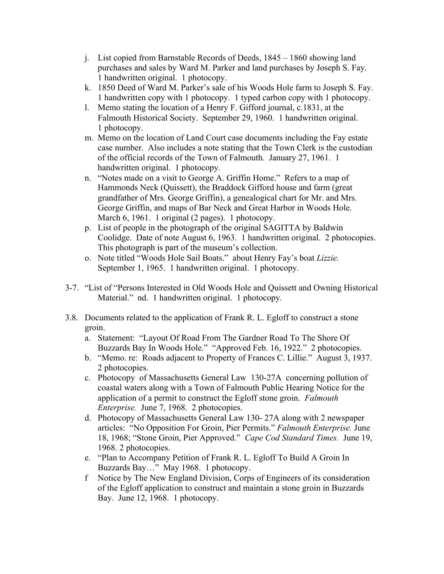- j. List copied from Barnstable Records of Deeds, 1845 1860 showing land purchases and sales by Ward M. Parker and land purchases by Joseph S. Fay. 1 handwritten original. 1 photocopy.
- k. 1850 Deed of Ward M. Parker's sale of his Woods Hole farm to Joseph S. Fay. 1 handwritten copy with 1 photocopy. 1 typed carbon copy with 1 photocopy.
- l. Memo stating the location of a Henry F. Gifford journal, c.1831, at the Falmouth Historical Society. September 29, 1960. 1 handwritten original. 1 photocopy.
- m. Memo on the location of Land Court case documents including the Fay estate case number. Also includes a note stating that the Town Clerk is the custodian of the official records of the Town of Falmouth. January 27, 1961. 1 handwritten original. 1 photocopy.
- n. "Notes made on a visit to George A. Griffin Home." Refers to a map of Hammonds Neck (Quissett), the Braddock Gifford house and farm (great grandfather of Mrs. George Griffin), a genealogical chart for Mr. and Mrs. George Griffin, and maps of Bar Neck and Great Harbor in Woods Hole. March 6, 1961. 1 original (2 pages). 1 photocopy.
- p. List of people in the photograph of the original SAGITTA by Baldwin Coolidge. Date of note August 6, 1963. 1 handwritten original. 2 photocopies. This photograph is part of the museum's collection.
- o. Note titled "Woods Hole Sail Boats." about Henry Fay's boat *Lizzie.* September 1, 1965. 1 handwritten original. 1 photocopy.
- 3-7. "List of "Persons Interested in Old Woods Hole and Quissett and Owning Historical Material." nd. 1 handwritten original. 1 photocopy.
- 3.8. Documents related to the application of Frank R. L. Egloff to construct a stone groin.
	- a. Statement: "Layout Of Road From The Gardner Road To The Shore Of Buzzards Bay In Woods Hole." "Approved Feb. 16, 1922." 2 photocopies.
	- b. "Memo. re: Roads adjacent to Property of Frances C. Lillie." August 3, 1937. 2 photocopies.
	- c. Photocopy of Massachusetts General Law 130-27A concerning pollution of coastal waters along with a Town of Falmouth Public Hearing Notice for the application of a permit to construct the Egloff stone groin. *Falmouth Enterprise.* June 7, 1968. 2 photocopies.
	- d. Photocopy of Massachusetts General Law 130- 27A along with 2 newspaper articles: "No Opposition For Groin, Pier Permits." *Falmouth Enterprise.* June 18, 1968; "Stone Groin, Pier Approved." *Cape Cod Standard Times.* June 19, 1968. 2 photocopies.
	- e. "Plan to Accompany Petition of Frank R. L. Egloff To Build A Groin In Buzzards Bay…" May 1968. 1 photocopy.
	- f Notice by The New England Division, Corps of Engineers of its consideration of the Egloff application to construct and maintain a stone groin in Buzzards Bay. June 12, 1968. 1 photocopy.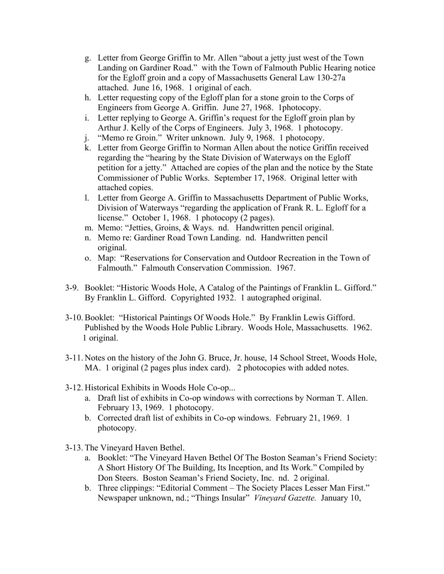- g. Letter from George Griffin to Mr. Allen "about a jetty just west of the Town Landing on Gardiner Road." with the Town of Falmouth Public Hearing notice for the Egloff groin and a copy of Massachusetts General Law 130-27a attached. June 16, 1968. 1 original of each.
- h. Letter requesting copy of the Egloff plan for a stone groin to the Corps of Engineers from George A. Griffin. June 27, 1968. 1photocopy.
- i. Letter replying to George A. Griffin's request for the Egloff groin plan by Arthur J. Kelly of the Corps of Engineers. July 3, 1968. 1 photocopy.
- j. "Memo re Groin." Writer unknown. July 9, 1968. 1 photocopy.
- k. Letter from George Griffin to Norman Allen about the notice Griffin received regarding the "hearing by the State Division of Waterways on the Egloff petition for a jetty." Attached are copies of the plan and the notice by the State Commissioner of Public Works. September 17, 1968. Original letter with attached copies.
- l. Letter from George A. Griffin to Massachusetts Department of Public Works, Division of Waterways "regarding the application of Frank R. L. Egloff for a license." October 1, 1968. 1 photocopy (2 pages).
- m. Memo: "Jetties, Groins, & Ways. nd. Handwritten pencil original.
- n. Memo re: Gardiner Road Town Landing. nd. Handwritten pencil original.
- o. Map: "Reservations for Conservation and Outdoor Recreation in the Town of Falmouth." Falmouth Conservation Commission. 1967.
- 3-9. Booklet: "Historic Woods Hole, A Catalog of the Paintings of Franklin L. Gifford." By Franklin L. Gifford. Copyrighted 1932. 1 autographed original.
- 3-10. Booklet: "Historical Paintings Of Woods Hole." By Franklin Lewis Gifford. Published by the Woods Hole Public Library. Woods Hole, Massachusetts. 1962. 1 original.
- 3-11. Notes on the history of the John G. Bruce, Jr. house, 14 School Street, Woods Hole, MA. 1 original (2 pages plus index card). 2 photocopies with added notes.
- 3-12. Historical Exhibits in Woods Hole Co-op...
	- a. Draft list of exhibits in Co-op windows with corrections by Norman T. Allen. February 13, 1969. 1 photocopy.
	- b. Corrected draft list of exhibits in Co-op windows. February 21, 1969. 1 photocopy.
- 3-13. The Vineyard Haven Bethel.
	- a. Booklet: "The Vineyard Haven Bethel Of The Boston Seaman's Friend Society: A Short History Of The Building, Its Inception, and Its Work." Compiled by Don Steers. Boston Seaman's Friend Society, Inc. nd. 2 original.
	- b. Three clippings: "Editorial Comment The Society Places Lesser Man First." Newspaper unknown, nd.; "Things Insular" *Vineyard Gazette.* January 10,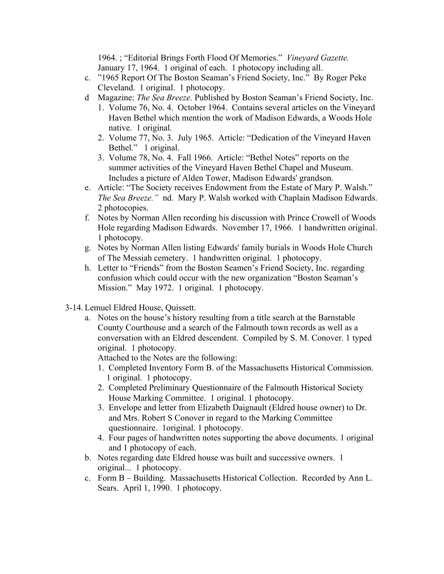1964. ; "Editorial Brings Forth Flood Of Memories." *Vineyard Gazette.*  January 17, 1964. 1 original of each. 1 photocopy including all.

- c. "1965 Report Of The Boston Seaman's Friend Society, Inc." By Roger Peke Cleveland. 1 original. 1 photocopy.
- d Magazine: *The Sea Breeze.* Published by Boston Seaman's Friend Society, Inc.
	- 1. Volume 76, No. 4. October 1964. Contains several articles on the Vineyard Haven Bethel which mention the work of Madison Edwards, a Woods Hole native. 1 original.
	- 2. Volume 77, No. 3. July 1965. Article: "Dedication of the Vineyard Haven Bethel." 1 original.
	- 3. Volume 78, No. 4. Fall 1966. Article: "Bethel Notes" reports on the summer activities of the Vineyard Haven Bethel Chapel and Museum. Includes a picture of Alden Tower, Madison Edwards' grandson.
- e. Article: "The Society receives Endowment from the Estate of Mary P. Walsh." *The Sea Breeze."* nd. Mary P. Walsh worked with Chaplain Madison Edwards. 2 photocopies.
- f. Notes by Norman Allen recording his discussion with Prince Crowell of Woods Hole regarding Madison Edwards. November 17, 1966. 1 handwritten original. 1 photocopy.
- g. Notes by Norman Allen listing Edwards' family burials in Woods Hole Church of The Messiah cemetery. 1 handwritten original. 1 photocopy.
- h. Letter to "Friends" from the Boston Seamen's Friend Society, Inc. regarding confusion which could occur with the new organization "Boston Seaman's Mission." May 1972. 1 original. 1 photocopy.
- 3-14. Lemuel Eldred House, Quissett.
	- a. Notes on the house's history resulting from a title search at the Barnstable County Courthouse and a search of the Falmouth town records as well as a conversation with an Eldred descendent. Compiled by S. M. Conover. 1 typed original. 1 photocopy.

Attached to the Notes are the following:

- 1. Completed Inventory Form B. of the Massachusetts Historical Commission. 1 original. 1 photocopy.
- 2. Completed Preliminary Questionnaire of the Falmouth Historical Society House Marking Committee. 1 original. 1 photocopy.
- 3. Envelope and letter from Elizabeth Daignault (Eldred house owner) to Dr. and Mrs. Robert S Conover in regard to the Marking Committee questionnaire. 1original. 1 photocopy.
- 4. Four pages of handwritten notes supporting the above documents. 1 original and 1 photocopy of each.
- b. Notes regarding date Eldred house was built and successive owners. 1 original... 1 photocopy.
- c. Form B Building. Massachusetts Historical Collection. Recorded by Ann L. Sears. April 1, 1990. 1 photocopy.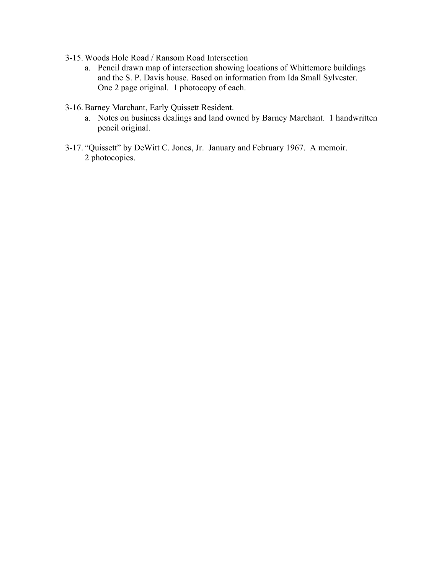- 3-15. Woods Hole Road / Ransom Road Intersection
	- a. Pencil drawn map of intersection showing locations of Whittemore buildings and the S. P. Davis house. Based on information from Ida Small Sylvester. One 2 page original. 1 photocopy of each.
- 3-16. Barney Marchant, Early Quissett Resident.
	- a. Notes on business dealings and land owned by Barney Marchant. 1 handwritten pencil original.
- 3-17. "Quissett" by DeWitt C. Jones, Jr. January and February 1967. A memoir. 2 photocopies.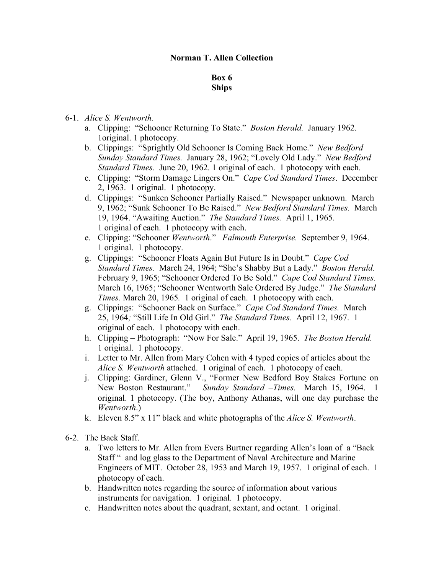## **Norman T. Allen Collection**

# **Box 6 Ships**

# 6-1. *Alice S. Wentworth.*

- a. Clipping: "Schooner Returning To State." *Boston Herald.* January 1962. 1original. 1 photocopy.
- b. Clippings: "Sprightly Old Schooner Is Coming Back Home." *New Bedford Sunday Standard Times.* January 28, 1962; "Lovely Old Lady." *New Bedford Standard Times.* June 20, 1962. 1 original of each. 1 photocopy with each.
- c. Clipping: "Storm Damage Lingers On." *Cape Cod Standard Times*. December 2, 1963. 1 original. 1 photocopy.
- d. Clippings: "Sunken Schooner Partially Raised." Newspaper unknown. March 9, 1962; "Sunk Schooner To Be Raised." *New Bedford Standard Times.* March 19, 1964. "Awaiting Auction." *The Standard Times.* April 1, 1965. 1 original of each. 1 photocopy with each.
- e. Clipping: "Schooner *Wentworth*." *Falmouth Enterprise.* September 9, 1964. 1 original. 1 photocopy.
- g. Clippings: "Schooner Floats Again But Future Is in Doubt." *Cape Cod Standard Times.* March 24, 1964; "She's Shabby But a Lady." *Boston Herald.*  February 9, 1965; "Schooner Ordered To Be Sold." *Cape Cod Standard Times.* March 16, 1965; "Schooner Wentworth Sale Ordered By Judge." *The Standard Times.* March 20, 1965*.* 1 original of each. 1 photocopy with each.
- g. Clippings: "Schooner Back on Surface." *Cape Cod Standard Times.* March 25, 1964*;* "Still Life In Old Girl." *The Standard Times.* April 12, 1967. 1 original of each. 1 photocopy with each.
- h. Clipping Photograph: "Now For Sale." April 19, 1965. *The Boston Herald.*  1 original. 1 photocopy.
- i. Letter to Mr. Allen from Mary Cohen with 4 typed copies of articles about the *Alice S. Wentworth* attached. 1 original of each. 1 photocopy of each.
- j. Clipping: Gardiner, Glenn V., "Former New Bedford Boy Stakes Fortune on New Boston Restaurant." *Sunday Standard –Times.* March 15, 1964. 1 original. 1 photocopy. (The boy, Anthony Athanas, will one day purchase the *Wentworth*.)
- k. Eleven 8.5" x 11" black and white photographs of the *Alice S. Wentworth*.
- 6-2. The Back Staff.
	- a. Two letters to Mr. Allen from Evers Burtner regarding Allen's loan of a "Back Staff " and log glass to the Department of Naval Architecture and Marine Engineers of MIT. October 28, 1953 and March 19, 1957. 1 original of each. 1 photocopy of each.
	- b. Handwritten notes regarding the source of information about various instruments for navigation. 1 original. 1 photocopy.
	- c. Handwritten notes about the quadrant, sextant, and octant. 1 original.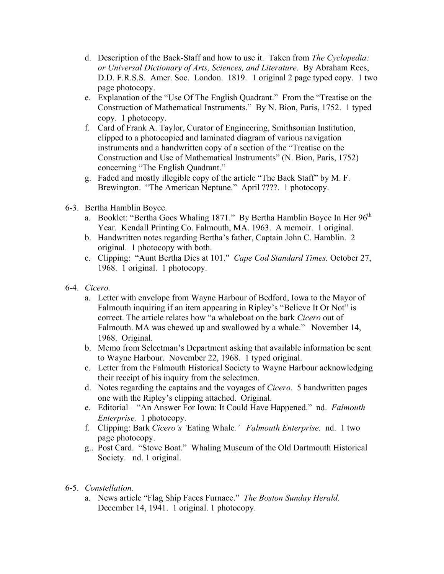- d. Description of the Back-Staff and how to use it. Taken from *The Cyclopedia: or Universal Dictionary of Arts, Sciences, and Literature*. By Abraham Rees, D.D. F.R.S.S. Amer. Soc. London. 1819. 1 original 2 page typed copy. 1 two page photocopy.
- e. Explanation of the "Use Of The English Quadrant." From the "Treatise on the Construction of Mathematical Instruments." By N. Bion, Paris, 1752. 1 typed copy. 1 photocopy.
- f. Card of Frank A. Taylor, Curator of Engineering, Smithsonian Institution, clipped to a photocopied and laminated diagram of various navigation instruments and a handwritten copy of a section of the "Treatise on the Construction and Use of Mathematical Instruments" (N. Bion, Paris, 1752) concerning "The English Quadrant."
- g. Faded and mostly illegible copy of the article "The Back Staff" by M. F. Brewington. "The American Neptune." April ????. 1 photocopy.
- 6-3. Bertha Hamblin Boyce.
	- a. Booklet: "Bertha Goes Whaling 1871." By Bertha Hamblin Boyce In Her 96<sup>th</sup> Year. Kendall Printing Co. Falmouth, MA. 1963. A memoir. 1 original.
	- b. Handwritten notes regarding Bertha's father, Captain John C. Hamblin. 2 original. 1 photocopy with both.
	- c. Clipping: "Aunt Bertha Dies at 101." *Cape Cod Standard Times.* October 27, 1968. 1 original. 1 photocopy.
- 6-4. *Cicero.*
	- a. Letter with envelope from Wayne Harbour of Bedford, Iowa to the Mayor of Falmouth inquiring if an item appearing in Ripley's "Believe It Or Not" is correct. The article relates how "a whaleboat on the bark *Cicero* out of Falmouth. MA was chewed up and swallowed by a whale." November 14, 1968. Original.
	- b. Memo from Selectman's Department asking that available information be sent to Wayne Harbour. November 22, 1968. 1 typed original.
	- c. Letter from the Falmouth Historical Society to Wayne Harbour acknowledging their receipt of his inquiry from the selectmen.
	- d. Notes regarding the captains and the voyages of *Cicero*. 5 handwritten pages one with the Ripley's clipping attached. Original.
	- e. Editorial "An Answer For Iowa: It Could Have Happened." nd. *Falmouth Enterprise.* 1 photocopy.
	- f. Clipping: Bark *Cicero's '*Eating Whale*.' Falmouth Enterprise.* nd.1 two page photocopy.
	- g.. Post Card. "Stove Boat." Whaling Museum of the Old Dartmouth Historical Society. nd. 1 original.
- 6-5. *Constellation.*
	- a. News article "Flag Ship Faces Furnace." *The Boston Sunday Herald.* December 14, 1941. 1 original. 1 photocopy.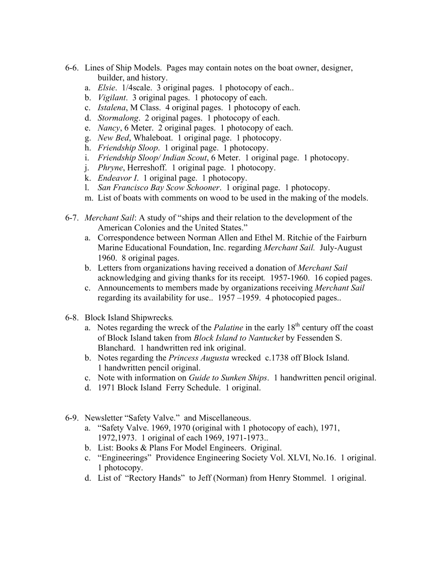- 6-6. Lines of Ship Models. Pages may contain notes on the boat owner, designer, builder, and history.
	- a. *Elsie*. 1/4scale. 3 original pages. 1 photocopy of each..
	- b. *Vigilant*. 3 original pages. 1 photocopy of each.
	- c. *Istalena*, M Class. 4 original pages. 1 photocopy of each.
	- d. *Stormalong*. 2 original pages. 1 photocopy of each.
	- e. *Nancy*, 6 Meter. 2 original pages. 1 photocopy of each.
	- g. *New Bed*, Whaleboat. 1 original page. 1 photocopy.
	- h. *Friendship Sloop*. 1 original page. 1 photocopy.
	- i. *Friendship Sloop/ Indian Scout*, 6 Meter. 1 original page. 1 photocopy.
	- j. *Phryne*, Herreshoff. 1 original page. 1 photocopy.
	- k. *Endeavor I*. 1 original page. 1 photocopy.
	- l. *San Francisco Bay Scow Schooner*. 1 original page. 1 photocopy.
	- m. List of boats with comments on wood to be used in the making of the models.
- 6-7. *Merchant Sail*: A study of "ships and their relation to the development of the American Colonies and the United States."
	- a. Correspondence between Norman Allen and Ethel M. Ritchie of the Fairburn Marine Educational Foundation, Inc. regarding *Merchant Sail.* July-August 1960. 8 original pages.
	- b. Letters from organizations having received a donation of *Merchant Sail*  acknowledging and giving thanks for its receipt*.* 1957-1960. 16 copied pages.
	- c. Announcements to members made by organizations receiving *Merchant Sail*  regarding its availability for use.. 1957 –1959. 4 photocopied pages..
- 6-8. Block Island Shipwrecks*.*
	- a. Notes regarding the wreck of the *Palatine* in the early 18<sup>th</sup> century off the coast of Block Island taken from *Block Island to Nantucket* by Fessenden S. Blanchard. 1 handwritten red ink original.
	- b. Notes regarding the *Princess Augusta* wrecked c.1738 off Block Island. 1 handwritten pencil original.
	- c. Note with information on *Guide to Sunken Ships*. 1 handwritten pencil original.
	- d. 1971 Block Island Ferry Schedule. 1 original.
- 6-9. Newsletter "Safety Valve." and Miscellaneous.
	- a. "Safety Valve. 1969, 1970 (original with 1 photocopy of each), 1971, 1972,1973. 1 original of each 1969, 1971-1973..
	- b. List: Books & Plans For Model Engineers. Original.
	- c. "Engineerings" Providence Engineering Society Vol. XLVI, No.16. 1 original. 1 photocopy.
	- d. List of "Rectory Hands" to Jeff (Norman) from Henry Stommel. 1 original.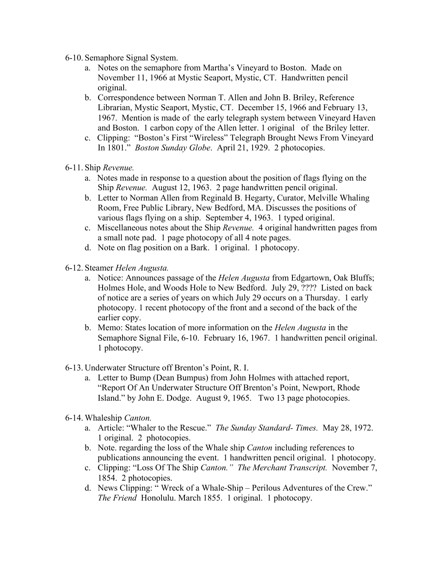- 6-10. Semaphore Signal System.
	- a. Notes on the semaphore from Martha's Vineyard to Boston. Made on November 11, 1966 at Mystic Seaport, Mystic, CT. Handwritten pencil original.
	- b. Correspondence between Norman T. Allen and John B. Briley, Reference Librarian, Mystic Seaport, Mystic, CT. December 15, 1966 and February 13, 1967. Mention is made of the early telegraph system between Vineyard Haven and Boston. 1 carbon copy of the Allen letter. 1 original of the Briley letter.
	- c. Clipping: "Boston's First "Wireless" Telegraph Brought News From Vineyard In 1801." *Boston Sunday Globe*. April 21, 1929. 2 photocopies.
- 6-11. Ship *Revenue.*
	- a. Notes made in response to a question about the position of flags flying on the Ship *Revenue.* August 12, 1963. 2 page handwritten pencil original.
	- b. Letter to Norman Allen from Reginald B. Hegarty, Curator, Melville Whaling Room, Free Public Library, New Bedford, MA. Discusses the positions of various flags flying on a ship. September 4, 1963. 1 typed original.
	- c. Miscellaneous notes about the Ship *Revenue.* 4 original handwritten pages from a small note pad. 1 page photocopy of all 4 note pages.
	- d. Note on flag position on a Bark. 1 original. 1 photocopy.
- 6-12. Steamer *Helen Augusta.*
	- a. Notice: Announces passage of the *Helen Augusta* from Edgartown, Oak Bluffs; Holmes Hole, and Woods Hole to New Bedford. July 29, ???? Listed on back of notice are a series of years on which July 29 occurs on a Thursday. 1 early photocopy. 1 recent photocopy of the front and a second of the back of the earlier copy.
	- b. Memo: States location of more information on the *Helen Augusta* in the Semaphore Signal File, 6-10. February 16, 1967. 1 handwritten pencil original. 1 photocopy.
- 6-13. Underwater Structure off Brenton's Point, R. I.
	- a. Letter to Bump (Dean Bumpus) from John Holmes with attached report, "Report Of An Underwater Structure Off Brenton's Point, Newport, Rhode Island." by John E. Dodge. August 9, 1965. Two 13 page photocopies.
- 6-14. Whaleship *Canton.*
	- a. Article: "Whaler to the Rescue." *The Sunday Standard- Times.* May 28, 1972. 1 original. 2 photocopies.
	- b. Note. regarding the loss of the Whale ship *Canton* including references to publications announcing the event. 1 handwritten pencil original. 1 photocopy.
	- c. Clipping: "Loss Of The Ship *Canton." The Merchant Transcript.* November 7, 1854. 2 photocopies.
	- d. News Clipping: " Wreck of a Whale-Ship Perilous Adventures of the Crew." *The Friend* Honolulu. March 1855. 1 original. 1 photocopy.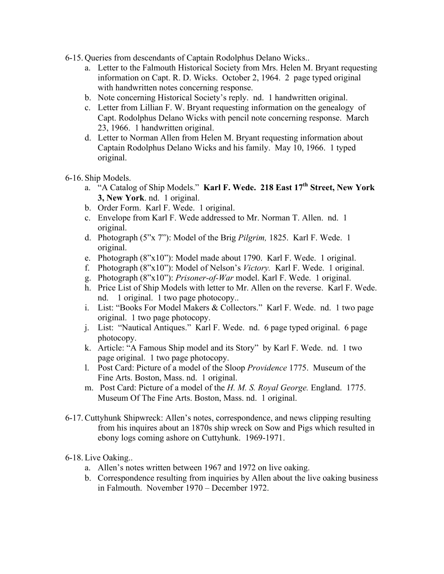- 6-15. Queries from descendants of Captain Rodolphus Delano Wicks..
	- a. Letter to the Falmouth Historical Society from Mrs. Helen M. Bryant requesting information on Capt. R. D. Wicks. October 2, 1964. 2 page typed original with handwritten notes concerning response.
	- b. Note concerning Historical Society's reply. nd. 1 handwritten original.
	- c. Letter from Lillian F. W. Bryant requesting information on the genealogy of Capt. Rodolphus Delano Wicks with pencil note concerning response. March 23, 1966. 1 handwritten original.
	- d. Letter to Norman Allen from Helen M. Bryant requesting information about Captain Rodolphus Delano Wicks and his family. May 10, 1966. 1 typed original.
- 6-16. Ship Models.
	- a. "A Catalog of Ship Models." **Karl F. Wede. 218 East 17th Street, New York 3, New York**. nd. 1 original.
	- b. Order Form. Karl F. Wede. 1 original.
	- c. Envelope from Karl F. Wede addressed to Mr. Norman T. Allen. nd. 1 original.
	- d. Photograph (5"x 7"): Model of the Brig *Pilgrim,* 1825. Karl F. Wede. 1 original.
	- e. Photograph (8"x10"): Model made about 1790. Karl F. Wede. 1 original.
	- f. Photograph (8"x10"): Model of Nelson's *Victory.* Karl F. Wede. 1 original.
	- g. Photograph (8"x10"): *Prisoner-of-War* model. Karl F. Wede. 1 original.
	- h. Price List of Ship Models with letter to Mr. Allen on the reverse. Karl F. Wede. nd. 1 original. 1 two page photocopy..
	- i. List: "Books For Model Makers & Collectors." Karl F. Wede. nd. 1 two page original. 1 two page photocopy.
	- j. List: "Nautical Antiques." Karl F. Wede. nd. 6 page typed original. 6 page photocopy.
	- k. Article: "A Famous Ship model and its Story" by Karl F. Wede. nd. 1 two page original. 1 two page photocopy.
	- l. Post Card: Picture of a model of the Sloop *Providence* 1775. Museum of the Fine Arts. Boston, Mass. nd. 1 original.
	- m. Post Card: Picture of a model of the *H. M. S. Royal George.* England. 1775. Museum Of The Fine Arts. Boston, Mass. nd. 1 original.
- 6-17. Cuttyhunk Shipwreck: Allen's notes, correspondence, and news clipping resulting from his inquires about an 1870s ship wreck on Sow and Pigs which resulted in ebony logs coming ashore on Cuttyhunk. 1969-1971.
- 6-18. Live Oaking..
	- a. Allen's notes written between 1967 and 1972 on live oaking.
	- b. Correspondence resulting from inquiries by Allen about the live oaking business in Falmouth. November 1970 – December 1972.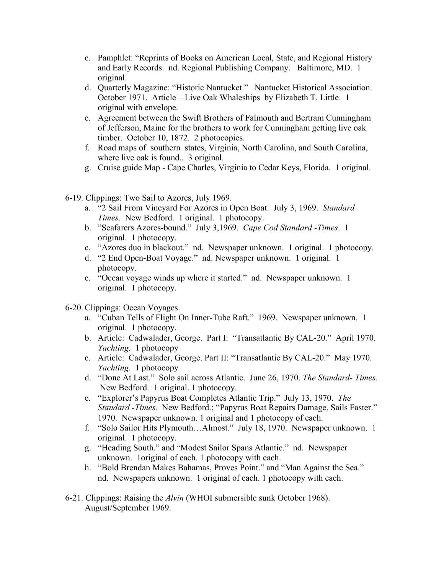- c. Pamphlet: "Reprints of Books on American Local, State, and Regional History and Early Records. nd. Regional Publishing Company. Baltimore, MD. 1 original.
- d. Quarterly Magazine: "Historic Nantucket." Nantucket Historical Association. October 1971. Article – Live Oak Whaleships by Elizabeth T. Little. 1 original with envelope.
- e. Agreement between the Swift Brothers of Falmouth and Bertram Cunningham of Jefferson, Maine for the brothers to work for Cunningham getting live oak timber. October 10, 1872. 2 photocopies.
- f. Road maps of southern states, Virginia, North Carolina, and South Carolina, where live oak is found... 3 original.
- g. Cruise guide Map Cape Charles, Virginia to Cedar Keys, Florida. 1 original.
- 6-19. Clippings: Two Sail to Azores, July 1969.
	- a. "2 Sail From Vineyard For Azores in Open Boat. July 3, 1969. *Standard Times*. New Bedford. 1 original. 1 photocopy.
	- b. "Seafarers Azores-bound." July 3,1969. *Cape Cod Standard -Times*. 1 original. 1 photocopy.
	- c. "Azores duo in blackout." nd. Newspaper unknown. 1 original. 1 photocopy.
	- d. "2 End Open-Boat Voyage." nd. Newspaper unknown. 1 original. 1 photocopy.
	- e. "Ocean voyage winds up where it started." nd. Newspaper unknown. 1 original. 1 photocopy.
- 6-20. Clippings: Ocean Voyages.
	- a. "Cuban Tells of Flight On Inner-Tube Raft." 1969. Newspaper unknown. 1 original. 1 photocopy.
	- b. Article: Cadwalader, George. Part I: "Transatlantic By CAL-20." April 1970. *Yachting.* 1 photocopy
	- c. Article: Cadwalader, George. Part II: "Transatlantic By CAL-20." May 1970. *Yachting.* 1 photocopy
	- d. "Done At Last." Solo sail across Atlantic. June 26, 1970. *The Standard- Times.*  New Bedford.1 original. 1 photocopy.
	- e. "Explorer's Papyrus Boat Completes Atlantic Trip." July 13, 1970. *The Standard -Times.* New Bedford.; "Papyrus Boat Repairs Damage, Sails Faster." 1970. Newspaper unknown. 1 original and 1 photocopy of each.
	- f. "Solo Sailor Hits Plymouth…Almost." July 18, 1970. Newspaper unknown. 1 original. 1 photocopy.
	- g. "Heading South." and "Modest Sailor Spans Atlantic." nd. Newspaper unknown. 1original of each. 1 photocopy with each.
	- h. "Bold Brendan Makes Bahamas, Proves Point." and "Man Against the Sea." nd. Newspapers unknown. 1 original of each. 1 photocopy with each.
- 6-21. Clippings: Raising the *Alvin* (WHOI submersible sunk October 1968). August/September 1969.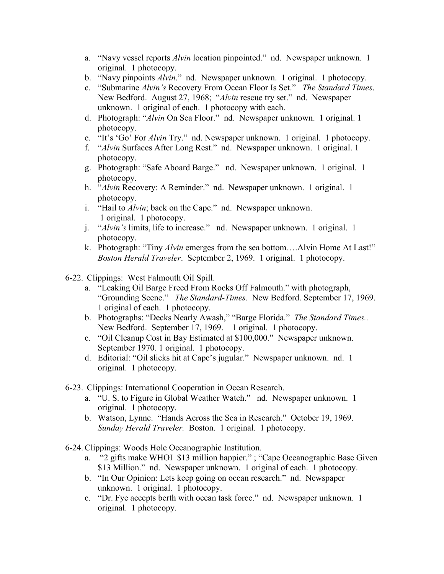- a. "Navy vessel reports *Alvin* location pinpointed." nd. Newspaper unknown. 1 original. 1 photocopy.
- b. "Navy pinpoints *Alvin*." nd. Newspaper unknown. 1 original. 1 photocopy.
- c. "Submarine *Alvin's* Recovery From Ocean Floor Is Set." *The Standard Times*. New Bedford. August 27, 1968; "*Alvin* rescue try set." nd. Newspaper unknown. 1 original of each. 1 photocopy with each.
- d. Photograph: "*Alvin* On Sea Floor." nd. Newspaper unknown. 1 original. 1 photocopy.
- e. "It's 'Go' For *Alvin* Try." nd. Newspaper unknown. 1 original. 1 photocopy.
- f. "*Alvin* Surfaces After Long Rest." nd. Newspaper unknown. 1 original. 1 photocopy.
- g. Photograph: "Safe Aboard Barge." nd. Newspaper unknown. 1 original. 1 photocopy.
- h. "*Alvin* Recovery: A Reminder." nd. Newspaper unknown. 1 original. 1 photocopy.
- i. "Hail to *Alvin*; back on the Cape." nd. Newspaper unknown. 1 original. 1 photocopy.
- j. "*Alvin's* limits, life to increase." nd. Newspaper unknown. 1 original. 1 photocopy.
- k. Photograph: "Tiny *Alvin* emerges from the sea bottom….Alvin Home At Last!" *Boston Herald Traveler*. September 2, 1969. 1 original. 1 photocopy.
- 6-22. Clippings: West Falmouth Oil Spill.
	- a. "Leaking Oil Barge Freed From Rocks Off Falmouth." with photograph, "Grounding Scene." *The Standard-Times.* New Bedford. September 17, 1969. 1 original of each. 1 photocopy.
	- b. Photographs: "Decks Nearly Awash," "Barge Florida." *The Standard Times..*  New Bedford. September 17, 1969. 1 original. 1 photocopy.
	- c. "Oil Cleanup Cost in Bay Estimated at \$100,000." Newspaper unknown. September 1970. 1 original. 1 photocopy.
	- d. Editorial: "Oil slicks hit at Cape's jugular." Newspaper unknown. nd. 1 original. 1 photocopy.
- 6-23. Clippings: International Cooperation in Ocean Research.
	- a. "U. S. to Figure in Global Weather Watch." nd. Newspaper unknown. 1 original. 1 photocopy.
	- b. Watson, Lynne. "Hands Across the Sea in Research." October 19, 1969. *Sunday Herald Traveler.* Boston. 1 original. 1 photocopy.
- 6-24. Clippings: Woods Hole Oceanographic Institution.
	- a. "2 gifts make WHOI \$13 million happier." ; "Cape Oceanographic Base Given \$13 Million." nd. Newspaper unknown. 1 original of each. 1 photocopy.
	- b. "In Our Opinion: Lets keep going on ocean research." nd. Newspaper unknown. 1 original. 1 photocopy.
	- c. "Dr. Fye accepts berth with ocean task force." nd. Newspaper unknown. 1 original. 1 photocopy.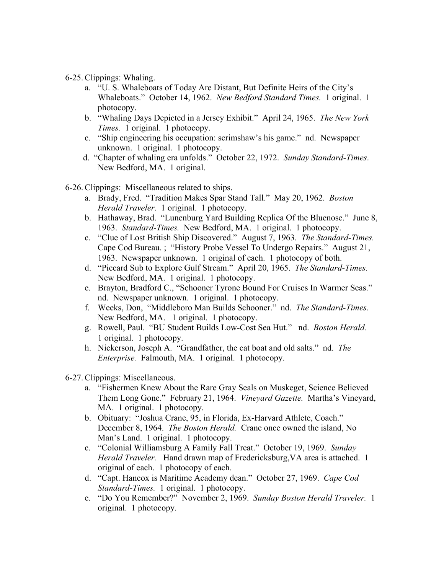## 6-25. Clippings: Whaling.

- a. "U. S. Whaleboats of Today Are Distant, But Definite Heirs of the City's Whaleboats." October 14, 1962. *New Bedford Standard Times.* 1 original. 1 photocopy.
- b. "Whaling Days Depicted in a Jersey Exhibit." April 24, 1965. *The New York Times.* 1 original. 1 photocopy.
- c. "Ship engineering his occupation: scrimshaw's his game." nd. Newspaper unknown. 1 original. 1 photocopy.
- d. "Chapter of whaling era unfolds." October 22, 1972. *Sunday Standard-Times*. New Bedford, MA. 1 original.

6-26. Clippings: Miscellaneous related to ships.

- a. Brady, Fred. "Tradition Makes Spar Stand Tall." May 20, 1962. *Boston Herald Traveler*. 1 original. 1 photocopy.
- b. Hathaway, Brad. "Lunenburg Yard Building Replica Of the Bluenose." June 8, 1963. *Standard-Times.* New Bedford, MA. 1 original. 1 photocopy.
- c. "Clue of Lost British Ship Discovered." August 7, 1963. *The Standard-Times.* Cape Cod Bureau. ; "History Probe Vessel To Undergo Repairs." August 21, 1963. Newspaper unknown. 1 original of each. 1 photocopy of both.
- d. "Piccard Sub to Explore Gulf Stream." April 20, 1965. *The Standard-Times.* New Bedford, MA. 1 original. 1 photocopy.
- e. Brayton, Bradford C., "Schooner Tyrone Bound For Cruises In Warmer Seas." nd. Newspaper unknown. 1 original. 1 photocopy.
- f. Weeks, Don, "Middleboro Man Builds Schooner." nd. *The Standard-Times.* New Bedford, MA. 1 original. 1 photocopy.
- g. Rowell, Paul. "BU Student Builds Low-Cost Sea Hut." nd. *Boston Herald.* 1 original. 1 photocopy.
- h. Nickerson, Joseph A. "Grandfather, the cat boat and old salts." nd. *The Enterprise.* Falmouth, MA. 1 original. 1 photocopy.
- 6-27. Clippings: Miscellaneous.
	- a. "Fishermen Knew About the Rare Gray Seals on Muskeget, Science Believed Them Long Gone." February 21, 1964. *Vineyard Gazette.* Martha's Vineyard, MA. 1 original. 1 photocopy.
	- b. Obituary: "Joshua Crane, 95, in Florida, Ex-Harvard Athlete, Coach." December 8, 1964. *The Boston Herald.* Crane once owned the island, No Man's Land. 1 original. 1 photocopy.
	- c. "Colonial Williamsburg A Family Fall Treat." October 19, 1969. *Sunday Herald Traveler.* Hand drawn map of Fredericksburg,VA area is attached. 1 original of each. 1 photocopy of each.
	- d. "Capt. Hancox is Maritime Academy dean." October 27, 1969. *Cape Cod Standard-Times.* 1 original. 1 photocopy.
	- e. "Do You Remember?" November 2, 1969. *Sunday Boston Herald Traveler.* 1 original. 1 photocopy.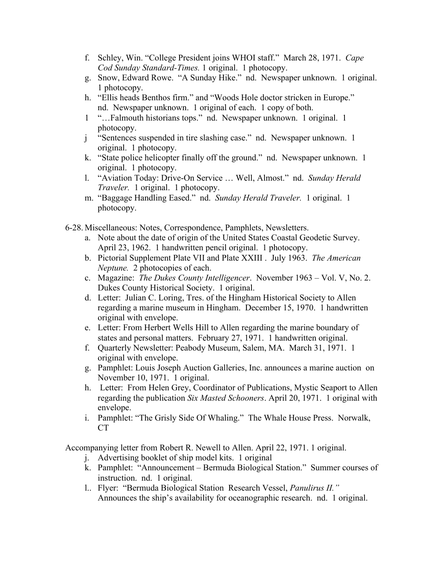- f. Schley, Win. "College President joins WHOI staff." March 28, 1971. *Cape Cod Sunday Standard-Times.* 1 original. 1 photocopy.
- g. Snow, Edward Rowe. "A Sunday Hike." nd. Newspaper unknown. 1 original. 1 photocopy.
- h. "Ellis heads Benthos firm." and "Woods Hole doctor stricken in Europe." nd. Newspaper unknown. 1 original of each. 1 copy of both.
- 1 "…Falmouth historians tops." nd. Newspaper unknown. 1 original. 1 photocopy.
- j "Sentences suspended in tire slashing case." nd. Newspaper unknown. 1 original. 1 photocopy.
- k. "State police helicopter finally off the ground." nd. Newspaper unknown. 1 original. 1 photocopy.
- l. "Aviation Today: Drive-On Service … Well, Almost." nd. *Sunday Herald Traveler.* 1 original. 1 photocopy.
- m. "Baggage Handling Eased." nd. *Sunday Herald Traveler.* 1 original. 1 photocopy.
- 6-28. Miscellaneous: Notes, Correspondence, Pamphlets, Newsletters.
	- a. Note about the date of origin of the United States Coastal Geodetic Survey. April 23, 1962. 1 handwritten pencil original. 1 photocopy.
	- b. Pictorial Supplement Plate VII and Plate XXIII . July 1963. *The American Neptune.* 2 photocopies of each.
	- c. Magazine: *The Dukes County Intelligencer*. November 1963 Vol. V, No. 2. Dukes County Historical Society. 1 original.
	- d. Letter: Julian C. Loring, Tres. of the Hingham Historical Society to Allen regarding a marine museum in Hingham. December 15, 1970. 1 handwritten original with envelope.
	- e. Letter: From Herbert Wells Hill to Allen regarding the marine boundary of states and personal matters. February 27, 1971. 1 handwritten original.
	- f. Quarterly Newsletter: Peabody Museum, Salem, MA. March 31, 1971. 1 original with envelope.
	- g. Pamphlet: Louis Joseph Auction Galleries, Inc. announces a marine auction on November 10, 1971. 1 original.
	- h. Letter: From Helen Grey, Coordinator of Publications, Mystic Seaport to Allen regarding the publication *Six Masted Schooners*. April 20, 1971. 1 original with envelope.
	- i. Pamphlet: "The Grisly Side Of Whaling." The Whale House Press. Norwalk, CT

Accompanying letter from Robert R. Newell to Allen. April 22, 1971. 1 original.

- j. Advertising booklet of ship model kits. 1 original
- k. Pamphlet: "Announcement Bermuda Biological Station." Summer courses of instruction. nd. 1 original.
- l.. Flyer: "Bermuda Biological Station Research Vessel, *Panulirus II."*  Announces the ship's availability for oceanographic research. nd. 1 original.